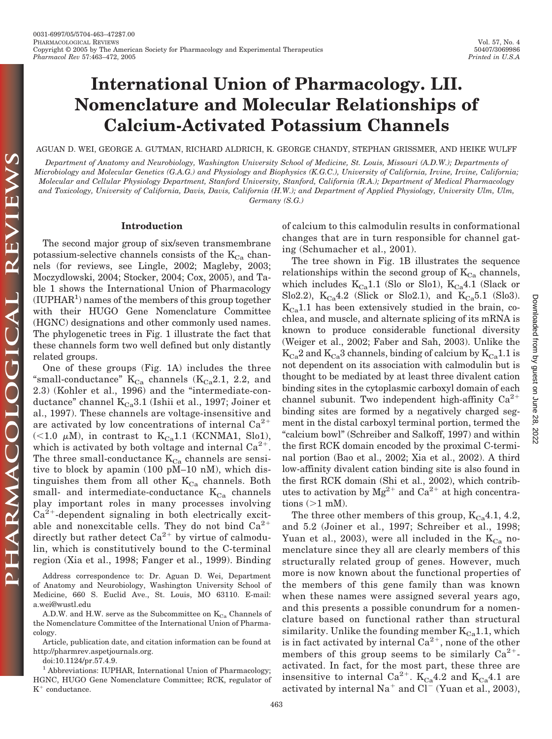# **International Union of Pharmacology. LII. Nomenclature and Molecular Relationships of Calcium-Activated Potassium Channels**

AGUAN D. WEI, GEORGE A. GUTMAN, RICHARD ALDRICH, K. GEORGE CHANDY, STEPHAN GRISSMER, AND HEIKE WULFF

*Department of Anatomy and Neurobiology, Washington University School of Medicine, St. Louis, Missouri (A.D.W.); Departments of Microbiology and Molecular Genetics (G.A.G.) and Physiology and Biophysics (K.G.C.), University of California, Irvine, Irvine, California; Molecular and Cellular Physiology Department, Stanford University, Stanford, California (R.A.); Department of Medical Pharmacology and Toxicology, University of California, Davis, Davis, California (H.W.); and Department of Applied Physiology, University Ulm, Ulm, Germany (S.G.)*

## **Introduction**

The second major group of six/seven transmembrane potassium-selective channels consists of the  $K_{Ca}$  channels (for reviews, see Lingle, 2002; Magleby, 2003; Moczydlowski, 2004; Stocker, 2004; Cox, 2005), and Table 1 shows the International Union of Pharmacology  $(IUPHAR<sup>1</sup>)$  names of the members of this group together with their HUGO Gene Nomenclature Committee (HGNC) designations and other commonly used names. The phylogenetic trees in Fig. 1 illustrate the fact that these channels form two well defined but only distantly related groups.

One of these groups (Fig. 1A) includes the three "small-conductance"  $K_{Ca}$  channels ( $K_{Ca}2.1$ , 2.2, and 2.3) (Kohler et al., 1996) and the "intermediate-conductance" channel  $K_{Ca}3.1$  (Ishii et al., 1997; Joiner et al., 1997). These channels are voltage-insensitive and are activated by low concentrations of internal  $Ca^{2+}$  $\left($  <1.0  $\mu$ M), in contrast to K<sub>Ca</sub>1.1 (KCNMA1, Slo1), which is activated by both voltage and internal  $Ca^{2+}$ . The three small-conductance  $K_{Ca}$  channels are sensitive to block by apamin (100 pM–10 nM), which distinguishes them from all other  $K_{Ca}$  channels. Both small- and intermediate-conductance  $K_{Ca}$  channels play important roles in many processes involving  $Ca^{2+}$ -dependent signaling in both electrically excitable and nonexcitable cells. They do not bind  $Ca^{2+}$ directly but rather detect  $Ca^{2+}$  by virtue of calmodulin, which is constitutively bound to the C-terminal region (Xia et al., 1998; Fanger et al., 1999). Binding

Address correspondence to: Dr. Aguan D. Wei, Department of Anatomy and Neurobiology, Washington University School of Medicine, 660 S. Euclid Ave., St. Louis, MO 63110. E-mail: a.wei@wustl.edu

A.D.W. and H.W. serve as the Subcommittee on  $K_{Ca}$  Channels of the Nomenclature Committee of the International Union of Pharmacology.

doi:10.1124/pr.57.4.9.

<sup>1</sup> Abbreviations: IUPHAR, International Union of Pharmacology; HGNC, HUGO Gene Nomenclature Committee; RCK, regulator of  $K^+$  conductance.

of calcium to this calmodulin results in conformational changes that are in turn responsible for channel gating (Schumacher et al., 2001).

The tree shown in Fig. 1B illustrates the sequence relationships within the second group of  $K_{\text{Ca}}$  channels, which includes  $K_{Ca}1.1$  (Slo or Slo1),  $K_{Ca}4.1$  (Slack or Slo2.2),  $K_{Ca}4.2$  (Slick or Slo2.1), and  $K_{Ca}5.1$  (Slo3).  $K_{Ca}1.1$  has been extensively studied in the brain, cochlea, and muscle, and alternate splicing of its mRNA is known to produce considerable functional diversity (Weiger et al., 2002; Faber and Sah, 2003). Unlike the  $K_{Ca}^2$  and  $K_{Ca}^3$  channels, binding of calcium by  $K_{Ca}^1$ 1.1 is not dependent on its association with calmodulin but is thought to be mediated by at least three divalent cation binding sites in the cytoplasmic carboxyl domain of each channel subunit. Two independent high-affinity  $Ca^{2+}$ binding sites are formed by a negatively charged segment in the distal carboxyl terminal portion, termed the "calcium bowl" (Schreiber and Salkoff, 1997) and within the first RCK domain encoded by the proximal C-terminal portion (Bao et al., 2002; Xia et al., 2002). A third low-affinity divalent cation binding site is also found in the first RCK domain (Shi et al., 2002), which contributes to activation by  $Mg^{2+}$  and  $Ca^{2+}$  at high concentrations  $(>1$  mM).

The three other members of this group,  $K_{Ca}4.1$ , 4.2, and 5.2 (Joiner et al., 1997; Schreiber et al., 1998; Yuan et al., 2003), were all included in the  $K_{Ca}$  nomenclature since they all are clearly members of this structurally related group of genes. However, much more is now known about the functional properties of the members of this gene family than was known when these names were assigned several years ago, and this presents a possible conundrum for a nomenclature based on functional rather than structural similarity. Unlike the founding member  $K_{Ca}1.1$ , which is in fact activated by internal  $Ca^{2+}$ , none of the other members of this group seems to be similarly  $Ca^{2+}$ activated. In fact, for the most part, these three are insensitive to internal Ca<sup>2+</sup>.  $K_{Ca}4.2$  and  $K_{Ca}4.1$  are activated by internal  $Na<sup>+</sup>$  and  $Cl<sup>-</sup>$  (Yuan et al., 2003),

Article, publication date, and citation information can be found at http://pharmrev.aspetjournals.org.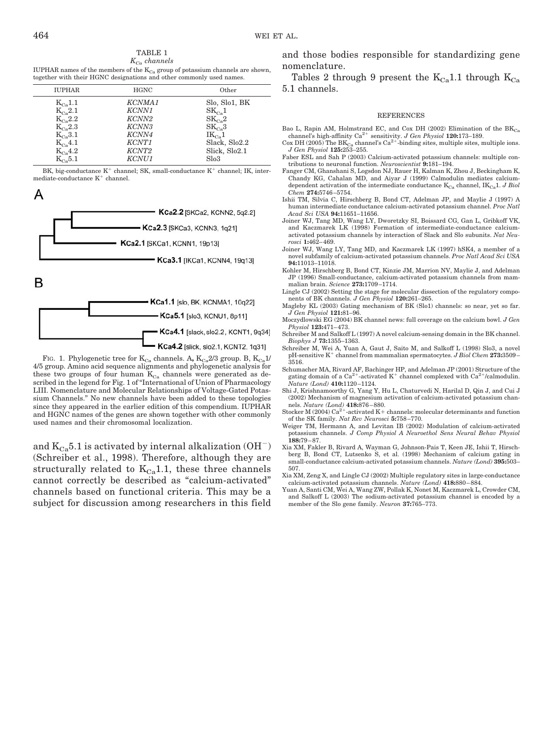TABLE 1 *KCa channels*

IUPHAR names of the members of the  $\mathrm{K}_{\mathrm{Ca}}$  group of potassium channels are shown, together with their HGNC designations and other commonly used names.

| <b>IUPHAR</b>                                | <b>HGNC</b>        | Other         |
|----------------------------------------------|--------------------|---------------|
| $K_{Ca}$ 1.1                                 | KCNMA <sub>1</sub> | Slo, Slo1, BK |
| $K_{C_2}$ 2.1                                | KCNN1              | $SK_{Ca}1$    |
| $K_{Ca}$ 2.2                                 | KCNN <sub>2</sub>  | $SK_{Ca}2$    |
| $K_{C_2}$ 2.3                                | KCNN3              | $SK_{C_2}3$   |
| $K_{c}$ , 3.1                                | KCNN4              | $IK_{Ca}1$    |
| $K_{Ca}4.1$                                  | KCNT <sub>1</sub>  | Slack, Slo2.2 |
| $K_{Ca}4.2$                                  | KCNT <sub>2</sub>  | Slick, Slo2.1 |
| $\rm K_{\rm \scriptscriptstyle C}$ $\rm 5.1$ | <b>KCNU1</b>       | Slo3          |
|                                              |                    |               |

BK, big-conductance  $K^+$  channel; SK, small-conductance  $K^+$  channel; IK, intermediate-conductance  $K^+$  channel.

A



FIG. 1. Phylogenetic tree for  $\mathrm{K}_{\mathrm{Ca}}$  channels. A,  $\mathrm{K}_{\mathrm{Ca}}2/3$  group. B,  $\mathrm{K}_{\mathrm{Ca}}1/$ 4/5 group. Amino acid sequence alignments and phylogenetic analysis for these two groups of four human  $K_{Ca}$  channels were generated as described in the legend for Fig. 1 of "International of Union of Pharmacology LIII. Nomenclature and Molecular Relationships of Voltage-Gated Potassium Channels." No new channels have been added to these topologies since they appeared in the earlier edition of this compendium. IUPHAR and HGNC names of the genes are shown together with other commonly used names and their chromosomal localization.

and  $K_{Ca}$ 5.1 is activated by internal alkalization (OH<sup>-</sup>) (Schreiber et al., 1998). Therefore, although they are structurally related to  $K_{Ca}1.1$ , these three channels cannot correctly be described as "calcium-activated" channels based on functional criteria. This may be a subject for discussion among researchers in this field and those bodies responsible for standardizing gene nomenclature.

Tables 2 through 9 present the  $K_{Ca}$ 1.1 through  $K_{Ca}$ 5.1 channels.

#### REFERENCES

- Bao L, Rapin AM, Holmstrand EC, and Cox DH (2002) Elimination of the  $BK_{Ca}$
- channel's high-affinity Ca<sup>2+</sup> sensitivity. *J Gen Physiol* **120:**173–189.<br>Cox DH (2005) The BK<sub>Ca</sub> channel's Ca<sup>2+</sup>-binding sites, multiple sites, multiple ions. *J Gen Physiol* **125:**253–255.
- Faber ESL and Sah P (2003) Calcium-activated potassium channels: multiple contributions to neuronal function. *Neuroscientist* **9:**181–194.
- Fanger CM, Ghanshani S, Logsdon NJ, Rauer H, Kalman K, Zhou J, Beckingham K, Chandy KG, Cahalan MD, and Aiyar J (1999) Calmodulin mediates calciumdependent activation of the intermediate conductance  $K_{Ca}$  channel,  $IK_{Ca}1$ . *J Biol Chem* **274:**5746 –5754.
- Ishii TM, Silvia C, Hirschberg B, Bond CT, Adelman JP, and Maylie J (1997) A human intermediate conductance calcium-activated potassium channel. *Proc Natl Acad Sci USA* **94:**11651–11656.
- Joiner WJ, Tang MD, Wang LY, Dworetzky SI, Boissard CG, Gan L, Gribkoff VK, and Kaczmarek LK (1998) Formation of intermediate-conductance calciumactivated potassium channels by interaction of Slack and Slo subunits. *Nat Neurosci* **1:**462– 469.
- Joiner WJ, Wang LY, Tang MD, and Kaczmarek LK (1997) hSK4, a member of a novel subfamily of calcium-activated potassium channels. *Proc Natl Acad Sci USA* **94:**11013–11018.
- Kohler M, Hirschberg B, Bond CT, Kinzie JM, Marrion NV, Maylie J, and Adelman JP (1996) Small-conductance, calcium-activated potassium channels from mammalian brain. *Science* **273:**1709 –1714.
- Lingle CJ (2002) Setting the stage for molecular dissection of the regulatory compo-nents of BK channels. *J Gen Physiol* **120:**261–265.
- Magleby KL (2003) Gating mechanism of BK (Slo1) channels: so near, yet so far. *J Gen Physiol* **121:**81–96. Moczydlowski EG (2004) BK channel news: full coverage on the calcium bowl. *J Gen*
- *Physiol* **123:**471– 473. Schreiber M and Salkoff L (1997) A novel calcium-sensing domain in the BK channel.
- *Biophys J* **73:**1355–1363.
- Schreiber M, Wei A, Yuan A, Gaut J, Saito M, and Salkoff L (1998) Slo3, a novel pH-sensitive K<sup>+</sup> channel from mammalian spermatocytes. *J Biol Chem* 273:3509-3516.
- Schumacher MA, Rivard AF, Bachinger HP, and Adelman JP (2001) Structure of the gating domain of a Ca<sup>2+</sup>-activated K<sup>+</sup> channel complexed with Ca<sup>2+</sup>/calmodulin. *Nature (Lond)* **410:**1120 –1124.
- Shi J, Krishnamoorthy G, Yang Y, Hu L, Chaturvedi N, Harilal D, Qin J, and Cui J (2002) Mechanism of magnesium activation of calcium-activated potassium chan-
- nels. *Nature (Lond)* **418:**876–880.<br>Stocker M (2004) Ca<sup>2+</sup>-activated K+ channels: molecular determinants and function of the SK family. *Nat Rev Neurosci* **5:**758 –770.
- Weiger TM, Hermann A, and Levitan IB (2002) Modulation of calcium-activated potassium channels. *J Comp Physiol A Neuroethol Sens Neural Behav Physiol* **188:**79 – 87.
- Xia XM, Fakler B, Rivard A, Wayman G, Johnson-Pais T, Keen JE, Ishii T, Hirschberg B, Bond CT, Lutsenko S, et al. (1998) Mechanism of calcium gating in small-conductance calcium-activated potassium channels. *Nature (Lond)* **395:**503– 507.
- Xia XM, Zeng X, and Lingle CJ (2002) Multiple regulatory sites in large-conductance calcium-activated potassium channels. *Nature (Lond)* **418:**880 – 884.
- Yuan A, Santi CM, Wei A, Wang ZW, Pollak K, Nonet M, Kaczmarek L, Crowder CM, and Salkoff L (2003) The sodium-activated potassium channel is encoded by a member of the Slo gene family. *Neuron* **37:**765–773.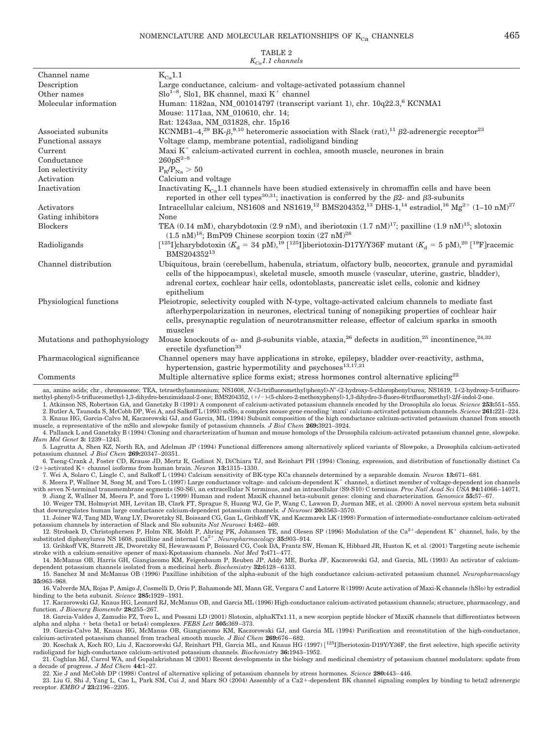| $K_{C_0}$ 1.1 channels        |                                                                                                                                                                                                                                                                                                                        |  |
|-------------------------------|------------------------------------------------------------------------------------------------------------------------------------------------------------------------------------------------------------------------------------------------------------------------------------------------------------------------|--|
| Channel name                  | $K_{Ca}1.1$                                                                                                                                                                                                                                                                                                            |  |
| Description                   | Large conductance, calcium- and voltage-activated potassium channel                                                                                                                                                                                                                                                    |  |
| Other names                   | $Slo^{1-8}$ , Slo1, BK channel, maxi K <sup>+</sup> channel                                                                                                                                                                                                                                                            |  |
| Molecular information         | Human: 1182aa, NM_001014797 (transcript variant 1), chr. 10q22.3, <sup>6</sup> KCNMA1                                                                                                                                                                                                                                  |  |
|                               | Mouse: 1171aa, NM_010610, chr. 14;                                                                                                                                                                                                                                                                                     |  |
|                               | Rat: 1243aa, NM_031828, chr. 15p16                                                                                                                                                                                                                                                                                     |  |
| Associated subunits           | KCNMB1-4, <sup>29</sup> BK- $\beta$ , <sup>9,10</sup> heteromeric association with Slack (rat), <sup>11</sup> $\beta$ 2-adrenergic receptor <sup>23</sup>                                                                                                                                                              |  |
| Functional assays             | Voltage clamp, membrane potential, radioligand binding                                                                                                                                                                                                                                                                 |  |
| Current                       | Maxi $K^+$ calcium-activated current in cochlea, smooth muscle, neurones in brain                                                                                                                                                                                                                                      |  |
| Conductance                   | $260pS^{2-8}$                                                                                                                                                                                                                                                                                                          |  |
| Ion selectivity               | $P_{K}/P_{Na} > 50$                                                                                                                                                                                                                                                                                                    |  |
| Activation                    | Calcium and voltage                                                                                                                                                                                                                                                                                                    |  |
| Inactivation                  | Inactivating $K_{Ca}1.1$ channels have been studied extensively in chromaffin cells and have been<br>reported in other cell types <sup>30,31</sup> ; inactivation is conferred by the $\beta$ 2- and $\beta$ 3-subunits                                                                                                |  |
| Activators                    | Intracellular calcium, NS1608 and NS1619, <sup>12</sup> BMS204352, <sup>13</sup> DHS-1, <sup>14</sup> estradiol, <sup>16</sup> Mg <sup>2+</sup> (1–10 nM) <sup>27</sup>                                                                                                                                                |  |
| Gating inhibitors             | None                                                                                                                                                                                                                                                                                                                   |  |
| <b>Blockers</b>               | TEA (0.14 mM), charybdotoxin (2.9 nM), and iberiotoxin (1.7 nM) <sup>17</sup> ; paxilline (1.9 nM) <sup>15</sup> ; slotoxin<br>$(1.5 \text{ nM})^{18}$ ; BmP09 Chinese scorpion toxin $(27 \text{ nM})^{28}$                                                                                                           |  |
| Radioligands                  | $[1^{25}]$ charybdotoxin ( $K_d = 34$ pM), <sup>19</sup> [ <sup>125</sup> I]iberiotoxin-D17Y/Y36F mutant ( $K_d = 5$ pM), <sup>20</sup> [ <sup>19</sup> F]racemic<br>BMS204352 <sup>13</sup>                                                                                                                           |  |
| Channel distribution          | Ubiquitous, brain (cerebellum, habenula, striatum, olfactory bulb, neocortex, granule and pyramidal<br>cells of the hippocampus), skeletal muscle, smooth muscle (vascular, uterine, gastric, bladder),<br>adrenal cortex, cochlear hair cells, odontoblasts, pancreatic islet cells, colonic and kidney<br>epithelium |  |
| Physiological functions       | Pleiotropic, selectivity coupled with N-type, voltage-activated calcium channels to mediate fast<br>afterhyperpolarization in neurones, electrical tuning of nonspiking properties of cochlear hair<br>cells, presynaptic regulation of neurotransmitter release, effector of calcium sparks in smooth<br>muscles      |  |
| Mutations and pathophysiology | Mouse knockouts of $\alpha$ - and $\beta$ -subunits viable, ataxia, <sup>26</sup> defects in audition, <sup>25</sup> incontinence, <sup>24,32</sup><br>erectile dysfunction <sup>33</sup>                                                                                                                              |  |
| Pharmacological significance  | Channel openers may have applications in stroke, epilepsy, bladder over-reactivity, asthma,<br>hypertension, gastric hypermotility and psychoses <sup>13,17,21</sup>                                                                                                                                                   |  |
| Comments                      | Multiple alternative splice forms exist; stress hormones control alternative splicing <sup>22</sup>                                                                                                                                                                                                                    |  |

aa, amino acids; chr., chromosome; TEA, tetraethylammonium; NS1608, *N*-(3-(trifluoromethyl)phenyl)-*N*-(2-hydroxy-5-chlorophenyl)urea; NS1619, 1-(2-hydroxy-5-trifluoromethyl-phenyl)-5-trifluoromethyl-1,3-dihydro-benzimidazol-2-one; BMS204352, (/)-(5-chloro-2-methoxyphenyl)-1,3-dihydro-3-fluoro-6(trifluoromethyl)-2*H*-indol-2-one.

1. Atkinson NS, Robertson GA, and Ganetzky B (1991) A component of calcium-activated potassium channels encoded by the Drosophila slo locus*. Science* **253:**551–555. 2. Butler A, Tsunoda S, McCobb DP, Wei A, and Salkoff L (1993) mSlo, a complex mouse gene encoding maxi calcium-activated potassium channels*. Science* **261:**221–224. 3. Knaus HG, Garcia-Calvo M, Kaczorowski GJ, and Garcia, ML (1994) Subunit composition of the high conductance calcium-activated potassium channel from smooth

muscle, a representative of the mSlo and slowpoke family of potassium channels*. J Biol Chem* **269:**3921–3924.

4. Pallanck L and Ganetzky B (1994) Cloning and characterization of human and mouse homologs of the Drosophila calcium-activated potassium channel gene, slowpoke*. Hum Mol Genet* **3:** 1239 –1243.

5. Lagrutta A, Shen KZ, North RA, and Adelman JP (1994) Functional differences among alternatively spliced variants of Slowpoke, a Drosophila calcium-activated potassium channel*. J Biol Chem* **269:**20347–20351.

6. Tseng-Crank J, Foster CD, Krause JD, Mertz R, Godinot N, DiChiara TJ, and Reinhart PH (1994) Cloning, expression, and distribution of functionally distinct Ca (2+)-activated K+ channel isoforms from human brain. Neuron 13:1315-1330.

7. Wei A, Solaro C, Lingle C, and Salkoff L (1994) Calcium sensitivity of BK-type KCa channels determined by a separable domain*. Neuron* **13:**671– 681. 8. Meera P, Wallner M, Song M, and Toro L (1997) Large conductance voltage- and calcium-dependent K<sup>+</sup> channel, a distinct member of voltage-dependent ion channels

with seven N-terminal transmembrane segments (S0-S6), an extracellular N terminus, and an intracellular (S9-S10) C terminus. *Proc Natl Acad Sci USA* **94:**14066 –14071. 9. Jiang Z, Wallner M, Meera P, and Toro L (1999) Human and rodent MaxiK channel beta-subunit genes: cloning and characterization*. Genomics* **55:**57– 67.

10. Weiger TM, Holmqvist MH, Levitan IB, Clark FT, Sprague S, Huang WJ, Ge P, Wang C, Lawson D, Jurman ME, et al. (2000) A novel nervous system beta subunit that downregulates human large conductance calcium-dependent potassium channels*. J Neurosci* **20:**3563–3570.

11. Joiner WJ, Tang MD, Wang LY, Dworetzky SI, Boissard CG, Gan L, Gribkoff VK, and Kaczmarek LK (1998) Formation of intermediate-conductance calcium-activated potassium channels by interaction of Slack and Slo subunits *Nat Neurosci* **1:**462– 469.

12. Strobaek D, Christophersen P, Holm NR, Moldt P, Ahring PK, Johansen TE, and Olesen SP (1996) Modulation of the Ca<sup>2+</sup>-dependent K<sup>+</sup> channel, hslo, by the substituted diphenylurea NS 1608, paxilline and internal Ca<sup>2+</sup>. *Neuropharmacology* 35:903-914.

13. Gribkoff VK, Starrett JE, Dworetzky SI, Hewawasam P, Boissard CG, Cook DA, Frantz SW, Heman K, Hibbard JR, Huston K, et al. (2001) Targeting acute ischemic stroke with a calcium-sensitive opener of maxi-Kpotassium channels. *Nat Med* **7:**471– 477.

14. McManus OB, Harris GH, Giangiacomo KM, Feigenbaum P, Reuben JP, Addy ME, Burka JF, Kaczorowski GJ, and Garcia, ML (1993) An activator of calciumdependent potassium channels isolated from a medicinal herb. *Biochemistry* **32:**6128 – 6133.

15. Sanchez M and McManus OB (1996) Paxilline inhibition of the alpha-subunit of the high conductance calcium-activated potassium channel*. Neuropharmacology* **35:**963–968.

16. Valverde MA, Rojas P, Amigo J, Cosmelli D, Orio P, Bahamonde MI, Mann GE, Vergara C and Latorre R (1999) Acute activation of Maxi-K channels (hSlo) by estradiol binding to the beta subunit*. Science* **285:**1929 –1931.

17. Kaczorowski GJ, Knaus HG, Leonard RJ, McManus OB, and Garcia ML (1996) High-conductance calcium-activated potassium channels; structure, pharmacology, and function. *J Bioenerg Biomembr* **28:**255–267.

18. Garcia-Valdes J, Zamudio FZ, Toro L, and Possani LD (2001) Slotoxin, alphaKTx1.11, a new scorpion peptide blocker of MaxiK channels that differentiates between alpha and alpha beta (beta1 or beta4) complexes*. FEBS Lett* **505:**369 –373.

19. Garcia-Calvo M, Knaus HG, McManus OB, Giangiacomo KM, Kaczorowski GJ, and Garcia ML (1994) Purification and reconstitution of the high-conductance, calcium-activated potassium channel from tracheal smooth muscle*. J Biol Chem* **269:**676 – 682. 20. Koschak A, Koch RO, Liu J, Kaczorowski GJ, Reinhart PH, Garcia ML, and Knaus HG (1997) [<sup>125</sup>I]Iberiotoxin-D19Y/Y36F, the first selective, high specific activity

radioligand for high-conductance calcium-activated potassium channels. *Biochemistry* **36:**1943–1952. 21. Coghlan MJ, Carrol WA, and Gopalakrishnan M (2001) Recent developments in the biology and medicinal chemistry of potassium channel modulators: update from

a decade of progress. *J Med Chem* **44:**1–27. 22. Xie J and McCobb DP (1998) Control of alternative splicing of potassium channels by stress hormones*. Science* **280:**443– 446.

23. Liu G, Shi J, Yang L, Cao L, Park SM, Cui J, and Marx SO (2004) Assembly of a Ca2+-dependent BK channel signaling complex by binding to beta2 adrenergic receptor. *EMBO J* **23:**2196 –2205.

# TABLE 2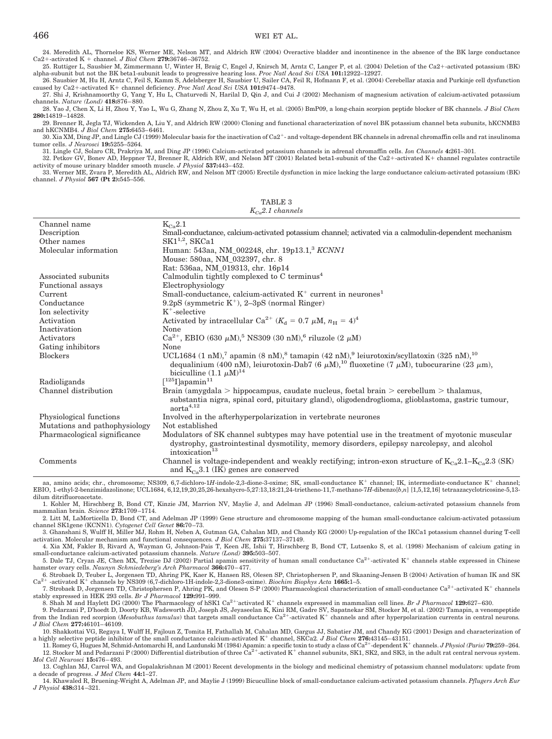### 466 WEI ET AL.

24. Meredith AL, Thorneloe KS, Werner ME, Nelson MT, and Aldrich RW (2004) Overactive bladder and incontinence in the absence of the BK large conductance Ca2-activated K channel. *J Biol Chem* **279:**36746 –36752.

25. Ruttiger L, Sausbier M, Zimmermann U, Winter H, Braig C, Engel J, Knirsch M, Arntz C, Langer P, et al. (2004) Deletion of the Ca2-activated potassium (BK) alpha-subunit but not the BK beta1-subunit leads to progressive hearing loss. *Proc Natl Acad Sci USA* **101:**12922–12927.

26. Sausbier M, Hu H, Arntz C, Feil S, Kamm S, Adelsberger H, Sausbier U, Sailer CA, Feil R, Hofmann F, et al. (2004) Cerebellar ataxia and Purkinje cell dysfunction caused by Ca2+-activated K+ channel deficiency. *Proc Natl Acad Sci USA* 101:9474-9478.

27. Shi J, Krishnamoorthy G, Yang Y, Hu L, Chaturvedi N, Harilal D, Qin J, and Cui J (2002) Mechanism of magnesium activation of calcium-activated potassium channels. *Nature (Lond)* **418:**876 – 880.

28. Yao J, Chen X, Li H, Zhou Y, Yao L, Wu G, Zhang N, Zhou Z, Xu T, Wu H, et al. (2005) BmP09, a long-chain scorpion peptide blocker of BK channels. *J Biol Chem* **280:**14819 –14828.

29. Brenner R, Jegla TJ, Wickenden A, Liu Y, and Aldrich RW (2000) Cloning and functional characterization of novel BK potassium channel beta subunits, hKCNMB3 and hKCNMB4. *J Biol Chem* **275:**6453– 6461.

30. Xia XM, Ding JP, and Lingle CJ (1999) Molecular basis for the inactivation of Ca2- and voltage-dependent BK channels in adrenal chromaffin cells and rat insulinoma tumor cells. *J Neurosci* **19:**5255–5264.

31. Lingle CJ, Solaro CR, Prakriya M, and Ding JP (1996) Calcium-activated potassium channels in adrenal chromaffin cells. *Ion Channels* **4:**261–301. 32. Petkov GV, Bonev AD, Heppner TJ, Brenner R, Aldrich RW, and Nelson MT (2001) Related beta1-subunit of the Ca2-activated K channel regulates contractile activity of mouse urinary bladder smooth muscle. *J Physiol* **537:**443– 452.

33. Werner ME, Zvara P, Meredith AL, Aldrich RW, and Nelson MT (2005) Erectile dysfunction in mice lacking the large conductance calcium-activated potassium (BK) channel. *J Physiol* **567 (Pt 2):**545–556.

TABLE 3 *KCa2.1 channels*

| Channel name                  | $K_{Ca}$ 2.1                                                                                                                                                                                                                                                                                                                                 |
|-------------------------------|----------------------------------------------------------------------------------------------------------------------------------------------------------------------------------------------------------------------------------------------------------------------------------------------------------------------------------------------|
| Description                   | Small-conductance, calcium-activated potassium channel; activated via a calmodulin-dependent mechanism                                                                                                                                                                                                                                       |
| Other names                   | $SK1^{1,2}$ , SKCa1                                                                                                                                                                                                                                                                                                                          |
| Molecular information         | Human: 543aa, NM_002248, chr. 19p13.1, <sup>3</sup> KCNN1                                                                                                                                                                                                                                                                                    |
|                               | Mouse: 580aa, NM_032397, chr. 8                                                                                                                                                                                                                                                                                                              |
|                               | Rat: 536aa, NM_019313, chr. 16p14                                                                                                                                                                                                                                                                                                            |
| Associated subunits           | Calmodulin tightly complexed to $C$ terminus <sup>4</sup>                                                                                                                                                                                                                                                                                    |
| Functional assays             | Electrophysiology                                                                                                                                                                                                                                                                                                                            |
| Current                       | Small-conductance, calcium-activated $K^+$ current in neurones <sup>1</sup>                                                                                                                                                                                                                                                                  |
| Conductance                   | $9.2\text{pS}$ (symmetric K <sup>+</sup> ), $2-3\text{pS}$ (normal Ringer)                                                                                                                                                                                                                                                                   |
| Ion selectivity               | $K^+$ -selective                                                                                                                                                                                                                                                                                                                             |
| Activation                    | Activated by intracellular Ca <sup>2+</sup> ( $K_d$ = 0.7 $\mu$ M, $n_H$ = 4) <sup>4</sup>                                                                                                                                                                                                                                                   |
| Inactivation                  | None                                                                                                                                                                                                                                                                                                                                         |
| Activators                    | Ca <sup>2+</sup> , EBIO (630 $\mu$ M), <sup>5</sup> NS309 (30 nM), <sup>6</sup> riluzole (2 $\mu$ M)                                                                                                                                                                                                                                         |
| Gating inhibitors             | None                                                                                                                                                                                                                                                                                                                                         |
| <b>Blockers</b>               | UCL1684 $(1 \text{ nM})$ , <sup>7</sup> apamin $(8 \text{ nM})$ , <sup>8</sup> tamapin $(42 \text{ nM})$ , <sup>9</sup> leiurotoxin/scyllatoxin $(325 \text{ nM})$ , <sup>10</sup><br>dequalinium (400 nM), leiurotoxin-Dab7 (6 $\mu$ M), <sup>10</sup> fluoxetine (7 $\mu$ M), tubocurarine (23 $\mu$ m),<br>biciculline $(1.1 \mu M)^{14}$ |
| Radioligands                  | $\lceil^{125}\text{I}\rceil$ apamin $^{11}$                                                                                                                                                                                                                                                                                                  |
| Channel distribution          | Brain (amygdala > hippocampus, caudate nucleus, foetal brain > cerebellum > thalamus,                                                                                                                                                                                                                                                        |
|                               | substantia nigra, spinal cord, pituitary gland), oligodendroglioma, glioblastoma, gastric tumour,<br>$a$ orta <sup>4,12</sup>                                                                                                                                                                                                                |
| Physiological functions       | Involved in the afterhyperpolarization in vertebrate neurones                                                                                                                                                                                                                                                                                |
| Mutations and pathophysiology | Not established                                                                                                                                                                                                                                                                                                                              |
| Pharmacological significance  | Modulators of SK channel subtypes may have potential use in the treatment of myotonic muscular<br>dystrophy, gastrointestinal dysmotility, memory disorders, epilepsy narcolepsy, and alcohol<br>intoxication <sup>13</sup>                                                                                                                  |
| Comments                      | Channel is voltage-independent and weakly rectifying; intron-exon structure of $K_{Ca}2.1-K_{Ca}2.3$ (SK)<br>and $K_{Cs}3.1$ (IK) genes are conserved                                                                                                                                                                                        |

aa, amino acids; chr., chromosome; NS309, 6,7-dichloro-1*H*-indole-2,3-dione-3-oxime; SK, small-conductance K<sup>+</sup> channel; IK, intermediate-conductance K<sup>+</sup> channel; EBIO, 1-ethyl-2-benzimidazolinone; UCL1684, 6,12,19,20,25,26-hexahycro-5,27:13,18:21,24-trietheno-11,7-methano-7*H*-dibenzo[*b*,*n*] [1,5,12,16] tetraazacyclotricosine-5,13 dilum ditrifluoroacetate.

1. Kohler M, Hirschberg B, Bond CT, Kinzie JM, Marrion NV, Maylie J, and Adelman JP (1996) Small-conductance, calcium-activated potassium channels from mammalian brain*. Science* **273:**1709 –1714.

2. Litt M, LaMorticella D, Bond CT, and Adelman JP (1999) Gene structure and chromosome mapping of the human small-conductance calcium-activated potassium channel SK1gene (KCNN1). *Cytogenet Cell Genet* **86:**70 –73.

3. Ghanshani S, Wulff H, Miller MJ, Rohm H, Neben A, Gutman GA, Cahalan MD, and Chandy KG (2000) Up-regulation of the IKCa1 potassium channel during T-cell activation. Molecular mechanism and functional consequences*. J Biol Chem* **275:**37137–37149.

4. Xia XM, Fakler B, Rivard A, Wayman G, Johnson-Pais T, Keen JE, Ishii T, Hirschberg B, Bond CT, Lutsenko S, et al. (1998) Mechanism of calcium gating in small-conductance calcium-activated potassium channels. *Nature (Lond)* **395:**503–507.

5. Dale TJ, Cryan JE, Chen MX, Trezise DJ (2002) Partial apamin sensitivity of human small conductance Ca<sup>2+</sup>-activated K<sup>+</sup> channels stable expressed in Chinese hamster ovary cells. *Naunyn Schmiedeberg's Arch Pharmacol* **366:**470 – 477.

6. Strobaek D, Teuber L, Jorgensen TD, Ahring PK, Kaer K, Hansen RS, Olesen SP, Christophersen P, and Skaaning-Jensen B (2004) Activation of human IK and SK  $Ca^{2+}$  -activated K<sup>+</sup> channels by NS309 (6,7-dichloro-1H-indol -activated K<sup>+</sup> channels by NS309 (6,7-dichloro-1H-indole-2,3-dione3-oxime). *Biochim Biophys Acta* 1665:1-5.

7. Strobaek D, Jorgensen TD, Christophersen P, Ahring PK, and Olesen S-P (2000) Pharmacological characterization of small-conductance  $Ca^{2+}$ -activated K<sup>+</sup> channels stably expressed in HEK 293 cells. *Br J Pharmacol* **129:**991–999.

8. Shah M and Haylett DG (2000) The Pharmacology of hSK1 Ca<sup>2+-</sup>activated K<sup>+</sup> channels expressed in mammalian cell lines. *Br J Pharmacol* 129:627–630.

9. Pedarzani P, D'hoedt D, Doorty KB, Wadsworth JD, Joseph JS, Jeyaseelan K, Kini RM, Gadre SV, Sapatnekar SM, Stocker M, et al. (2002) Tamapin, a venompeptide from the Indian red scorpion (*Mesobuthus tamulus*) that targets small conductance Ca<sup>2+</sup>-activated K<sup>+</sup> channels and after hyperpolarization currents in central neurons. *J Biol Chem* **277:**46101– 46109.

10. Shakkottai VG, Regaya I, Wulff H, Fajloun Z, Tomita H, Fathallah M, Cahalan MD, Gargus JJ, Sabatier JM, and Chandy KG (2001) Design and characterization of a highly selective peptide inhibitor of the small conductance calcium-activated K<sup>+</sup> channel, SKCa2. J Biol Chem 276:43145–43151.

11. Romey G, Hugues M, Schmid-Antomarchi H, and Lazdunski M (1984) Apamin: a specific toxin to study a class of Ca2-dependent K channels. *J Physiol (Paris)* **79:**259–264. 12. Stocker M and Pedarzani P (2000) Differential distribution of three  $Ca^{2+}$ -activated K<sup>+</sup> channel subunits, SK1, SK2, and SK3, in the adult rat central nervous system. *Mol Cell Neurosci* **15:**476 – 493.

13. Coghlan MJ, Carrol WA, and Gopalakrishnan M (2001) Recent developments in the biology and medicinal chemistry of potassium channel modulators: update from a decade of progress. *J Med Chem* **44:**1–27.

14. Khawaled R, Bruening-Wright A, Adelman JP, and Maylie J (1999) Bicuculline block of small-conductance calcium-activated potassium channels. *Pflugers Arch Eur J Physiol* **438:**314 –321.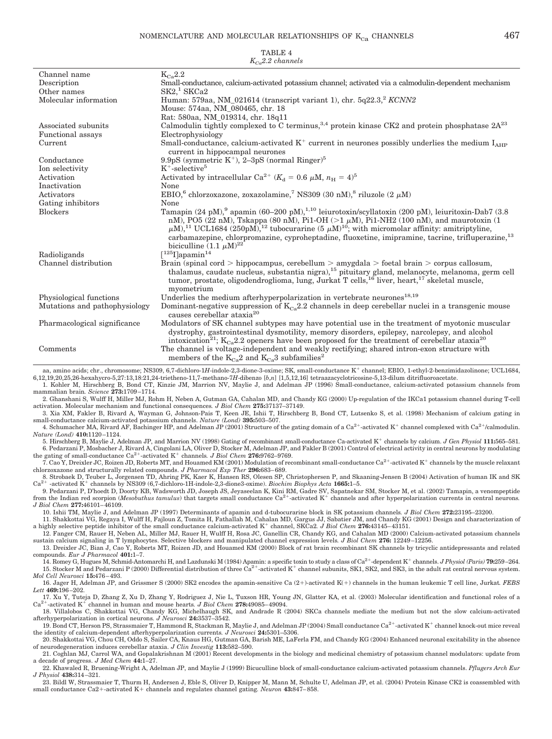| $K_{\alpha}$ 2.2 channels     |                                                                                                                                                                                                                                                                                                                                                                                                                                                                                       |  |
|-------------------------------|---------------------------------------------------------------------------------------------------------------------------------------------------------------------------------------------------------------------------------------------------------------------------------------------------------------------------------------------------------------------------------------------------------------------------------------------------------------------------------------|--|
| Channel name                  | $K_{Ca}2.2$                                                                                                                                                                                                                                                                                                                                                                                                                                                                           |  |
| Description                   | Small-conductance, calcium-activated potassium channel; activated via a calmodulin-dependent mechanism                                                                                                                                                                                                                                                                                                                                                                                |  |
| Other names                   | SK2 <sup>1</sup> SKCa2                                                                                                                                                                                                                                                                                                                                                                                                                                                                |  |
| Molecular information         | Human: 579aa, NM_021614 (transcript variant 1), chr. 5q22.3, <sup>2</sup> KCNN2                                                                                                                                                                                                                                                                                                                                                                                                       |  |
|                               | Mouse: 574aa, NM 080465, chr. 18                                                                                                                                                                                                                                                                                                                                                                                                                                                      |  |
|                               | Rat: 580aa, NM 019314, chr. 18q11                                                                                                                                                                                                                                                                                                                                                                                                                                                     |  |
| Associated subunits           | Calmodulin tightly complexed to C terminus, 3,4 protein kinase CK2 and protein phosphatase $2A^{23}$                                                                                                                                                                                                                                                                                                                                                                                  |  |
| Functional assays             | Electrophysiology                                                                                                                                                                                                                                                                                                                                                                                                                                                                     |  |
| Current                       | Small-conductance, calcium-activated $K^+$ current in neurones possibly underlies the medium $I_{AHP}$<br>current in hippocampal neurones                                                                                                                                                                                                                                                                                                                                             |  |
| Conductance                   | 9.9pS (symmetric $K^+$ ), 2-3pS (normal Ringer) <sup>5</sup>                                                                                                                                                                                                                                                                                                                                                                                                                          |  |
| Ion selectivity               | $K^+$ -selective <sup>5</sup>                                                                                                                                                                                                                                                                                                                                                                                                                                                         |  |
| Activation                    | Activated by intracellular Ca <sup>2+</sup> ( $K_d$ = 0.6 $\mu$ M, $n_H$ = 4) <sup>5</sup>                                                                                                                                                                                                                                                                                                                                                                                            |  |
| Inactivation                  | None                                                                                                                                                                                                                                                                                                                                                                                                                                                                                  |  |
| Activators                    | EBIO, <sup>6</sup> chlorzoxazone, zoxazolamine, <sup>7</sup> NS309 (30 nM), <sup>8</sup> riluzole (2 $\mu$ M)                                                                                                                                                                                                                                                                                                                                                                         |  |
| Gating inhibitors             | None                                                                                                                                                                                                                                                                                                                                                                                                                                                                                  |  |
| <b>Blockers</b>               | Tamapin (24 pM), <sup>9</sup> apamin (60–200 pM), <sup>1,10</sup> leiurotoxin/scyllatoxin (200 pM), leiuritoxin-Dab7 (3.8<br>nM), PO5 (22 nM), Tskappa (80 nM), Pi1-OH (>1 $\mu$ M), Pi1-NH2 (100 nM), and maurotoxin (1<br>$\mu$ M), <sup>11</sup> UCL1684 (250pM), <sup>12</sup> tubocurarine (5 $\mu$ M) <sup>10</sup> ; with micromolar affinity: amitriptyline,<br>carbamazepine, chlorpromazine, cyproheptadine, fluoxetine, imipramine, tacrine, trifluperazine, <sup>13</sup> |  |
|                               | biciculline $(1.1 \mu M)^{22}$                                                                                                                                                                                                                                                                                                                                                                                                                                                        |  |
| Radioligands                  | $\rm [^{125}I]$ apamin $^{14}$                                                                                                                                                                                                                                                                                                                                                                                                                                                        |  |
| Channel distribution          | Brain (spinal cord > hippocampus, cerebellum > amygdala > foetal brain > corpus callosum,<br>thalamus, caudate nucleus, substantia nigra), <sup>15</sup> pituitary gland, melanocyte, melanoma, germ cell<br>tumor, prostate, oligodendroglioma, lung, Jurkat T cells, $^{16}$ liver, heart, $^{17}$ skeletal muscle,<br>myometrium                                                                                                                                                   |  |
| Physiological functions       | Underlies the medium after hyperpolarization in vertebrate neurones <sup>18,19</sup>                                                                                                                                                                                                                                                                                                                                                                                                  |  |
| Mutations and pathophysiology | Dominant-negative suppression of $K_{Ca}$ 2.2 channels in deep cerebellar nuclei in a transgenic mouse<br>causes cerebellar ataxia <sup>20</sup>                                                                                                                                                                                                                                                                                                                                      |  |
| Pharmacological significance  | Modulators of SK channel subtypes may have potential use in the treatment of myotonic muscular<br>dystrophy, gastrointestinal dysmotility, memory disorders, epilepsy, narcolepsy, and alcohol<br>intoxication <sup>21</sup> ; K <sub>Ca</sub> 2.2 openers have been proposed for the treatment of cerebellar ataxia <sup>20</sup>                                                                                                                                                    |  |
| Comments                      | The channel is voltage-independent and weakly rectifying; shared intron-exon structure with<br>members of the $K_{Ca}$ 2 and $K_{Ca}$ 3 subfamilies <sup>2</sup>                                                                                                                                                                                                                                                                                                                      |  |

aa, amino acids; chr., chromosome; NS309, 6,7-dichloro-1H-indole-2,3-dione-3-oxime; SK, small-conductance K<sup>+</sup> channel; EBIO, 1-ethyl-2-benzimidazolinone; UCL1684, 6,12,19,20,25,26-hexahycro-5,27:13,18:21,24-trietheno-11,7-methano-7*H*-dibenzo [*b*,*n*] [1,5,12,16] tetraazacyclotricosine-5,13-dilum ditrifluoroacetate.

1. Kohler M, Hirschberg B, Bond CT, Kinzie JM, Marrion NV, Maylie J, and Adelman JP (1996) Small-conductance, calcium-activated potassium channels from mammalian brain*. Science* **273:**1709 –1714. 2. Ghanshani S, Wulff H, Miller MJ, Rohm H, Neben A, Gutman GA, Cahalan MD, and Chandy KG (2000) Up-regulation of the IKCa1 potassium channel during T-cell

activation. Molecular mechanism and functional consequences*. J Biol Chem* **275:**37137–37149.

3. Xia XM, Fakler B, Rivard A, Wayman G, Johnson-Pais T, Keen JE, Ishii T, Hirschberg B, Bond CT, Lutsenko S, et al. (1998) Mechanism of calcium gating in small-conductance calcium-activated potassium channels. *Nature (Lond)* **395:**503–507. 4. Schumacher MA, Rivard AF, Bachinger HP, and Adelman JP (2001) Structure of the gating domain of a Ca<sup>2+</sup>-activated K<sup>+</sup> channel complexed with Ca<sup>2+</sup>/calmodulin.

*Nature (Lond)* **410:**1120 –1124. 5. Hirschberg B, Maylie J, Adelman JP, and Marrion NV (1998) Gating of recombinant small-conductance Ca-activated K channels by calcium. *J Gen Physiol* **111:**565–581.

6. Pedarzani P, Mosbacher J, Rivard A, Cingolani LA, Oliver D, Stocker M, Adelman JP, and Fakler B (2001) Control of electrical activity in central neurons by modulating the gating of small-conductance  $Ca^{2+}$ -activated  $K^+$  channels. *J Biol Chem* 276:9762–9769.

 $\tilde{7}$ . Cao Y, Dreixler JC, Roizen JD, Roberts MT, and Houamed KM (2001) Modulation of recombinant small-conductance Ca<sup>2+</sup>-activated K<sup>+</sup> channels by the muscle relaxant chlorzoxazone and structurally related compounds

chlorzoxazone and structurally related compounds. J Pharmacol Exp Ther 296:683–689.<br>8. Strobaek D, Teuber L, Jorgensen TD, Ahring PK, Kaer K, Hansen RS, Olesen SP, Christophersen P, and Skaaning-Jensen B (2004) Activation

9. Pedarzani P, D'hoedt D, Doorty KB, Wadsworth JD, Joseph JS, Jeyaseelan K, Kini RM, Gadre SV, Sapatnekar SM, Stocker M, et al. (2002) Tamapin, a venompeptide from the Indian red scorpion (*Mesobuthus tamulus*) that targets small conductance  $Ca^{2+}$ -activated  $K^+$  channels and after hyperpolarization currents in central neurons. *J Biol Chem* **277:**46101– 46109.

10. Ishii TM, Maylie J, and Adelman JP (1997) Determinants of apamin and d-tubocurarine block in SK potassium channels*. J Biol Chem* **272:**23195–23200.

11. Shakkottai VG, Regaya I, Wulff H, Fajloun Z, Tomita H, Fathallah M, Cahalan MD, Gargus JJ, Sabatier JM, and Chandy KG (2001) Design and characterization of a highly selective peptide inhibitor of the small conductance calcium-activated K<sup>+</sup> channel, SKCa2. J Biol Chem 276:43145-43151. 12. Fanger CM, Rauer H, Neben AL, Miller MJ, Rauer H, Wulff H, Rosa JC, Ganellin CR, Chandy KG, and Cahalan MD (2000) Calcium-activated potassium channels

sustain calcium signaling in T lymphocytes. Selective blockers and manipulated channel expression levels*. J Biol Chem* **276:** 12249 –12256. 13. Dreixler JC, Bian J, Cao Y, Roberts MT, Roizen JD, and Houamed KM (2000) Block of rat brain recombinant SK channels by tricyclic antidepressants and related

compounds. *Eur J Pharmacol* **401:**1–7. 14. Romey G, Hugues M, Schmid-Antomarchi H, and Lazdunski M (1984) Apamin: a specific toxin to study a class of Ca2-dependent K channels. *J Physiol (Paris)* **79:**259–264.

15. Stocker M and Pedarzani P (2000) Differential distribution of three  $Ca^{2+}$ -activated K<sup>+</sup> channel subunits, SK1, SK2, and SK3, in the adult rat central nervous system. *Mol Cell Neurosci* **15:**476 – 493. 16. Jager H, Adelman JP, and Grissmer S (2000) SK2 encodes the apamin-sensitive Ca (2)-activated K() channels in the human leukemic T cell line, Jurkat*. FEBS*

*Lett* **469:**196 –202.

17. Xu Y, Tuteja D, Zhang Z, Xu D, Zhang Y, Rodriguez J, Nie L, Tuxson HR, Young JN, Glatter KA, et al. (2003) Molecular identification and functional roles of a  $Ca^{2+}$ -activated K<sup>+</sup> channel in human and mouse hearts. <sup>+</sup>-activated K<sup>+</sup> channel in human and mouse hearts. *J Biol Chem* 278:49085-49094. 18. Villalobos C, Shakkottai VG, Chandy KG, Michelhaugh SK, and Andrade R (2004) SKCa channels mediate the medium but not the slow calcium-activated

afterhyperpolarization in cortical neurons*. J Neurosci* **24:**3537–3542. 19. Bond CT, Herson PS, Strassmaier T, Hammond R, Stackman R, Maylie J, and Adelman JP (2004) Small conductance  $Ca^{2+}$ -activated K<sup>+</sup> channel knock-out mice reveal

the identity of calcium-dependent afterhyperpolarization currents*. J Neurosci* **24:**5301–5306. 20. Shakkottai VG, Chou CH, Oddo S, Sailer CA, Knaus HG, Gutman GA, Barish ME, LaFerla FM, and Chandy KG (2004) Enhanced neuronal excitability in the absence

of neurodegeneration induces cerebellar ataxia. *J Clin Investig* **113:**582–590. 21. Coghlan MJ, Carrol WA, and Gopalakrishnan M (2001) Recent developments in the biology and medicinal chemistry of potassium channel modulators: update from a decade of progress. *J Med Chem* **44:**1–27.

22. Khawaled R, Bruening-Wright A, Adelman JP, and Maylie J (1999) Bicuculline block of small-conductance calcium-activated potassium channels. *Pflugers Arch Eur J Physiol* **438:**314 –321.

23. Bildl W, Strassmaier T, Thurm H, Andersen J, Eble S, Oliver D, Knipper M, Mann M, Schulte U, Adelman JP, et al. (2004) Protein Kinase CK2 is coassembled with small conductance Ca2+-activated K+ channels and regulates channel gating. Neuron 43:847-858.

|  | TABLE |  |
|--|-------|--|
|  |       |  |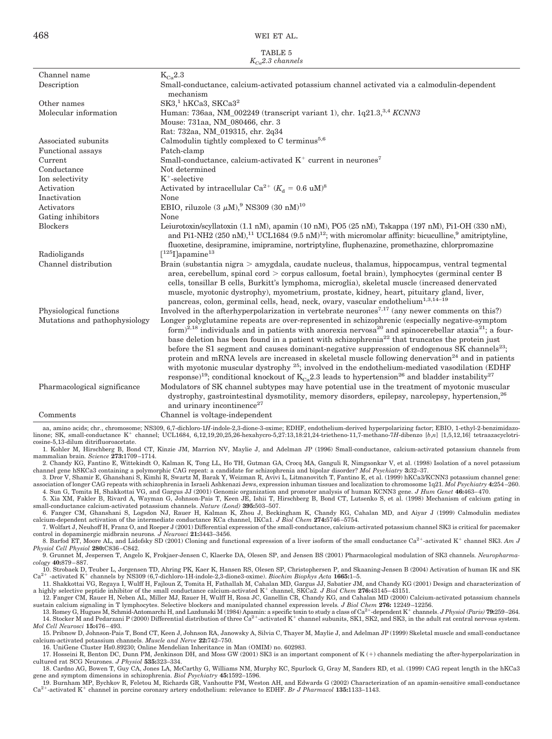468 WEI ET AL.

| TABLE 5               |
|-----------------------|
| $K_{Ca}$ 2.3 channels |

|                                            | $\Lambda_{Ca}$ channers                                                                                                                                                                                                                                                                                                                                                                                                                                                                                                                                                                                                                                                                                                                                                                                                                        |
|--------------------------------------------|------------------------------------------------------------------------------------------------------------------------------------------------------------------------------------------------------------------------------------------------------------------------------------------------------------------------------------------------------------------------------------------------------------------------------------------------------------------------------------------------------------------------------------------------------------------------------------------------------------------------------------------------------------------------------------------------------------------------------------------------------------------------------------------------------------------------------------------------|
| Channel name                               | $K_{Ca}2.3$                                                                                                                                                                                                                                                                                                                                                                                                                                                                                                                                                                                                                                                                                                                                                                                                                                    |
| Description                                | Small-conductance, calcium-activated potassium channel activated via a calmodulin-dependent<br>mechanism                                                                                                                                                                                                                                                                                                                                                                                                                                                                                                                                                                                                                                                                                                                                       |
| Other names                                | SK3, <sup>1</sup> hKCa3, SKCa3 <sup>2</sup>                                                                                                                                                                                                                                                                                                                                                                                                                                                                                                                                                                                                                                                                                                                                                                                                    |
| Molecular information                      | Human: 736aa, NM_002249 (transcript variant 1), chr. 1q21.3, <sup>3,4</sup> KCNN3                                                                                                                                                                                                                                                                                                                                                                                                                                                                                                                                                                                                                                                                                                                                                              |
|                                            | Mouse: 731aa, NM_080466, chr. 3                                                                                                                                                                                                                                                                                                                                                                                                                                                                                                                                                                                                                                                                                                                                                                                                                |
|                                            | Rat: 732aa, NM 019315, chr. 2q34                                                                                                                                                                                                                                                                                                                                                                                                                                                                                                                                                                                                                                                                                                                                                                                                               |
| Associated subunits                        | Calmodulin tightly complexed to C terminus <sup>5,6</sup>                                                                                                                                                                                                                                                                                                                                                                                                                                                                                                                                                                                                                                                                                                                                                                                      |
| <b>Functional</b> assays                   | Patch-clamp                                                                                                                                                                                                                                                                                                                                                                                                                                                                                                                                                                                                                                                                                                                                                                                                                                    |
| Current                                    | Small-conductance, calcium-activated $K^+$ current in neurones <sup>7</sup>                                                                                                                                                                                                                                                                                                                                                                                                                                                                                                                                                                                                                                                                                                                                                                    |
| Conductance                                | Not determined                                                                                                                                                                                                                                                                                                                                                                                                                                                                                                                                                                                                                                                                                                                                                                                                                                 |
| Ion selectivity                            | $K^+$ -selective                                                                                                                                                                                                                                                                                                                                                                                                                                                                                                                                                                                                                                                                                                                                                                                                                               |
| Activation                                 | Activated by intracellular Ca <sup>2+</sup> ( $K_d = 0.6$ uM) <sup>8</sup>                                                                                                                                                                                                                                                                                                                                                                                                                                                                                                                                                                                                                                                                                                                                                                     |
| Inactivation                               | None                                                                                                                                                                                                                                                                                                                                                                                                                                                                                                                                                                                                                                                                                                                                                                                                                                           |
| Activators                                 | EBIO, riluzole (3 $\mu$ M), <sup>9</sup> NS309 (30 nM) <sup>10</sup>                                                                                                                                                                                                                                                                                                                                                                                                                                                                                                                                                                                                                                                                                                                                                                           |
| Gating inhibitors                          | None                                                                                                                                                                                                                                                                                                                                                                                                                                                                                                                                                                                                                                                                                                                                                                                                                                           |
| <b>Blockers</b>                            | Leiurotoxin/scyllatoxin (1.1 nM), apamin (10 nM), PO5 (25 nM), Tskappa (197 nM), Pi1-OH (330 nM),<br>and Pi1-NH2 (250 nM), <sup>11</sup> UCL1684 (9.5 nM) <sup>12</sup> ; with micromolar affinity: bicuculline, <sup>9</sup> amitriptyline,<br>fluoxetine, desipramine, imipramine, nortriptyline, fluphenazine, promethazine, chlorpromazine                                                                                                                                                                                                                                                                                                                                                                                                                                                                                                 |
| Radioligands                               | $\lceil 1251 \rceil$ apamine <sup>13</sup>                                                                                                                                                                                                                                                                                                                                                                                                                                                                                                                                                                                                                                                                                                                                                                                                     |
| Channel distribution                       | Brain (substantia nigra $>$ amygdala, caudate nucleus, thalamus, hippocampus, ventral tegmental<br>area, cerebellum, spinal cord $>$ corpus callosum, foetal brain), lymphocytes (germinal center B<br>cells, tonsillar B cells, Burkitt's lymphoma, microglia), skeletal muscle (increased denervated<br>muscle, myotonic dystrophy), myometrium, prostate, kidney, heart, pituitary gland, liver,<br>pancreas, colon, germinal cells, head, neck, ovary, vascular endothelium <sup>1,3,14-19</sup>                                                                                                                                                                                                                                                                                                                                           |
| Physiological functions                    | Involved in the afterhyperpolarization in vertebrate neurones <sup>7,17</sup> (any newer comments on this?)                                                                                                                                                                                                                                                                                                                                                                                                                                                                                                                                                                                                                                                                                                                                    |
| Mutations and pathophysiology              | Longer polyglutamine repeats are over-represented in schizophrenic (especially negative-symptom<br>form) <sup>2,18</sup> individuals and in patients with anorexia nervosa <sup>20</sup> and spinocerebellar ataxia <sup>21</sup> ; a four-<br>base deletion has been found in a patient with schizophrenia <sup>22</sup> that truncates the protein just<br>before the S1 segment and causes dominant-negative suppression of endogenous SK channels <sup>23</sup> ;<br>protein and mRNA levels are increased in skeletal muscle following denervation <sup>24</sup> and in patients<br>with myotonic muscular dystrophy $^{25}$ ; involved in the endothelium-mediated vasodilation (EDHF<br>response) <sup>19</sup> ; conditional knockout of K <sub>Ca</sub> 2.3 leads to hypertension <sup>26</sup> and bladder instability <sup>27</sup> |
| Pharmacological significance               | Modulators of SK channel subtypes may have potential use in the treatment of myotonic muscular<br>dystrophy, gastrointestinal dysmotility, memory disorders, epilepsy, narcolepsy, hypertension, <sup>26</sup><br>and urinary incontinence <sup>27</sup>                                                                                                                                                                                                                                                                                                                                                                                                                                                                                                                                                                                       |
| Comments                                   | Channel is voltage-independent                                                                                                                                                                                                                                                                                                                                                                                                                                                                                                                                                                                                                                                                                                                                                                                                                 |
| ومحاملته والمحامل ومالك والمتحدث والمتخالف | MC900 C 7 distince 1II indeed 0.9 dincs 9 against FDIIF and the ding derived because leaders for factor FDIO 1 attack 0 beautierid                                                                                                                                                                                                                                                                                                                                                                                                                                                                                                                                                                                                                                                                                                             |

aa, amino acids; chr., chromosome; NS309, 6,7-dichloro-1*H*-indole-2,3-dione-3-oxime; EDHF, endothelium-derived hyperpolarizing factor; EBIO, 1-ethyl-2-benzimidazolinone; SK, small-conductance K<sup>+</sup> channel; UCL1684, 6,12,19,20,25,26-hexahycro-5,27:13,18:21,24-trietheno-11,7-methano-7*H*-dibenzo [*b,n*] [1,5,12,16] tetraazacyclotricosine-5,13-dilum ditrifluoroacetate.

1. Kohler M, Hirschberg B, Bond CT, Kinzie JM, Marrion NV, Maylie J, and Adelman JP (1996) Small-conductance, calcium-activated potassium channels from mammalian brain*. Science* **273:**1709 –1714.

2. Chandy KG, Fantino E, Wittekindt O, Kalman K, Tong LL, Ho TH, Gutman GA, Crocq MA, Ganguli R, Nimgaonkar V, et al. (1998) Isolation of a novel potassium channel gene hSKCa3 containing a polymorphic CAG repeat: a candidate for schizophrenia and bipolar disorder? *Mol Psychiatry* **3:**32–37.

3. Dror V, Shamir E, Ghanshani S, Kimhi R, Swartz M, Barak Y, Weizman R, Avivi L, Litmanovitch T, Fantino E, et al. (1999) hKCa3/KCNN3 potassium channel gene: association of longer CAG repeats with schizophrenia in Israeli Ashkenazi Jews, expression inhuman tissues and localization to chromosome 1q21. *Mol Psychiatry* **4:**254 –260. 4. Sun G, Tomita H, Shakkottai VG, and Gargus JJ (2001) Genomic organization and promoter analysis of human KCNN3 gene. *J Hum Genet* **46:**463– 470.

5. Xia XM, Fakler B, Rivard A, Wayman G, Johnson-Pais T, Keen JE, Ishii T, Hirschberg B, Bond CT, Lutsenko S, et al. (1998) Mechanism of calcium gating in small-conductance calcium-activated potassium channels. *Nature (Lond)* **395:**503–507.

6. Fanger CM, Ghanshani S, Logsdon NJ, Rauer H, Kalman K, Zhou J, Beckingham K, Chandy KG, Cahalan MD, and Aiyar J (1999) Calmodulin mediates calcium-dependent activation of the intermediate conductance KCa channel, IKCa1. *J Biol Chem* **274:**5746 –5754.

7. Wolfart J, Neuhoff H, Franz O, and Roeper J (2001) Differential expression of the small-conductance, calcium-activated potassium channel SK3 is critical for pacemaker control in dopaminergic midbrain neurons*. J Neurosci* **21:**3443–3456.

8. Barfod ET, Moore AL, and Lidofsky SD (2001) Cloning and functional expression of a liver isoform of the small conductance Ca<sup>2+</sup>-activated K<sup>+</sup> channel SK3. Am J *Physiol Cell Physiol* **280:**C836 –C842.

9. Grunnet M, Jespersen T, Angelo K, Frokjaer-Jensen C, Klaerke DA, Olesen SP, and Jensen BS (2001) Pharmacological modulation of SK3 channels*. Neuropharmacology* **40:**879 – 887.

10. Strobaek D, Teuber L, Jorgensen TD, Ahring PK, Kaer K, Hansen RS, Olesen SP, Christophersen P, and Skaaning-Jensen B (2004) Activation of human IK and SK<br>Ca<sup>2+</sup> -activated K<sup>+</sup> channels by NS309 (6.7-dichloro-1H-indol -activated  $K^+$  channels by NS309 (6,7-dichloro-1H-indole-2,3-dione3-oxime). *Biochim Biophys Acta* 1665:1–5.

11. Shakkottai VG, Regaya I, Wulff H, Fajloun Z, Tomita H, Fathallah M, Cahalan MD, Gargus JJ, Sabatier JM, and Chandy KG (2001) Design and characterization of a highly selective peptide inhibitor of the small conductance calcium-activated K<sup>+</sup> channel, SKCa2. J Biol Chem 276:43145–43151.

12. Fanger CM, Rauer H, Neben AL, Miller MJ, Rauer H, Wulff H, Rosa JC, Ganellin CR, Chandy KG, and Cahalan MD (2000) Calcium-activated potassium channels sustain calcium signaling in T lymphocytes. Selective blockers and manipulated channel expression levels*. J Biol Chem* **276:** 12249 –12256.

13. Romey G, Hugues M, Schmid-Antomarchi H, and Lazdunski M (1984) Apamin: a specific toxin to study a class of Ca<sup>2+</sup>-dependent K<sup>+</sup> channels. *J Physiol (Paris)* **79:**259–264.<br>14. Stocker M and Pedarzani P (2000) Differ *Mol Cell Neurosci* **15:**476 – 493.

15. Pribnow D, Johnson-Pais T, Bond CT, Keen J, Johnson RA, Janowsky A, Silvia C, Thayer M, Maylie J, and Adelman JP (1999) Skeletal muscle and small-conductance calcium-activated potassium channels. *Muscle and Nerve* **22:**742–750.

16. UniGene Cluster Hs0.89230; Online Mendelian Inheritance in Man (OMIM) no. 602983.

17. Hosseini R, Benton DC, Dunn PM, Jenkinson DH, and Moss GW (2001) SK3 is an important component of K (+) channels mediating the after-hyperpolarization in cultured rat SCG Neurones. *J Physiol* **535:**323–334.

18. Cardno AG, Bowen T, Guy CA, Jones LA, McCarthy G, Williams NM, Murphy KC, Spurlock G, Gray M, Sanders RD, et al. (1999) CAG repeat length in the hKCa3 gene and symptom dimensions in schizophrenia. *Biol Psychiatry* 45:1592–1596.<br>19. Burnham MP, Bychkov R, Feletou M, Richards GR, Vanhoutte PM, Weston AH, and Edwards G (2002) Characterization of an apamin-sensitive small-c

Ca<sup>2+</sup>-activated K<sup>+</sup> channel in porcine coronary artery endothelium: relevance to EDHF. *Br J Pharmacol* 135:1133-1143.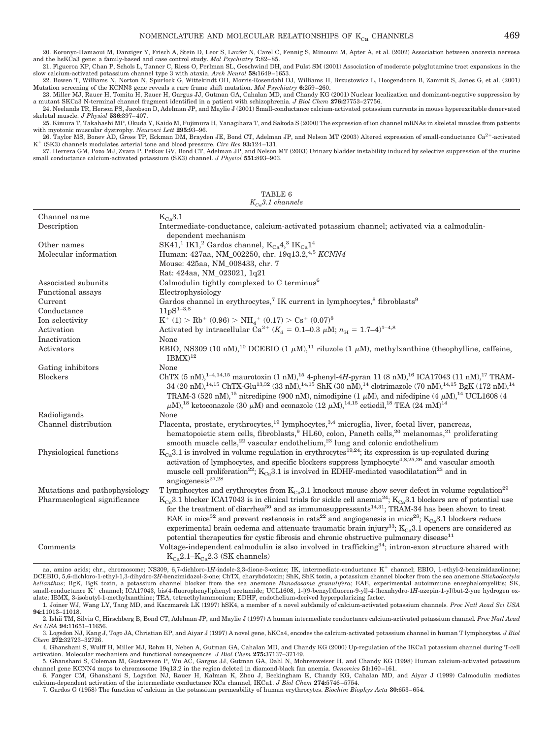20. Koronyo-Hamaoui M, Danziger Y, Frisch A, Stein D, Leor S, Laufer N, Carel C, Fennig S, Minoumi M, Apter A, et al. (2002) Association between anorexia nervosa and the hsKCa3 gene: a family-based and case control study.

21. Figueroa KP, Chan P, Schols L, Tanner C, Riess O, Perlman SL, Geschwind DH, and Pulst SM (2001) Association of moderate polyglutamine tract expansions in the slow calcium-activated potassium channel type 3 with ataxia. *Arch Neurol* **58:**1649 –1653.

22. Bowen T, Williams N, Norton N, Spurlock G, Wittekindt OH, Morris-Rosendahl DJ, Williams H, Brzustowicz L, Hoogendoorn B, Zammit S, Jones G, et al. (2001) Mutation screening of the KCNN3 gene reveals a rare frame shift mutation. *Mol Psychiatry* **6:**259 –260.

23. Miller MJ, Rauer H, Tomita H, Rauer H, Gargus JJ, Gutman GA, Cahalan MD, and Chandy KG (2001) Nuclear localization and dominant-negative suppression by a mutant SKCa3 N-terminal channel fragment identified in a patient with schizophrenia*. J Biol Chem* **276:**27753–27756.

24. Neelands TR, Herson PS, Jacobson D, Adelman JP, and Maylie J (2001) Small-conductance calcium-activated potassium currents in mouse hyperexcitable denervated skeletal muscle. *J Physiol* **536:**397– 407.

25. Kimura T, Takahashi MP, Okuda Y, Kaido M, Fujimura H, Yanagihara T, and Sakoda S (2000) The expression of ion channel mRNAs in skeletal muscles from patients with myotonic muscular dystrophy. *Neurosci Lett* **295:**93–96.

26. Taylor MS, Bonev AD, Gross TP, Eckman DM, Brayden JE, Bond CT, Adelman JP, and Nelson MT (2003) Altered expression of small-conductance Ca<sup>2+</sup>-activated  $K^+$  (SK3) channels modulates arterial tone and blood pressure. *Circ Res* 93:124–131.<br>27. Herrera GM, Pozo MJ, Zvara P, Petkov GV, Bond CT, Adelman JP, and Nelson MT (2003) Urinary bladder instability induced by selecti

small conductance calcium-activated potassium (SK3) channel. *J Physiol* **551:**893–903.

TABLE 6

| $K_{Co}3.1$ channels          |                                                                                                                                                                                                                                                                                                                                                                                                                                                                                                                                                                                                                                                         |  |
|-------------------------------|---------------------------------------------------------------------------------------------------------------------------------------------------------------------------------------------------------------------------------------------------------------------------------------------------------------------------------------------------------------------------------------------------------------------------------------------------------------------------------------------------------------------------------------------------------------------------------------------------------------------------------------------------------|--|
| Channel name                  | $K_{Ca}3.1$                                                                                                                                                                                                                                                                                                                                                                                                                                                                                                                                                                                                                                             |  |
| Description                   | Intermediate-conductance, calcium-activated potassium channel; activated via a calmodulin-<br>dependent mechanism                                                                                                                                                                                                                                                                                                                                                                                                                                                                                                                                       |  |
| Other names                   | SK41, <sup>1</sup> IK1, <sup>2</sup> Gardos channel, $K_{Ca}4$ , <sup>3</sup> IK <sub>Ca</sub> 1 <sup>4</sup>                                                                                                                                                                                                                                                                                                                                                                                                                                                                                                                                           |  |
| Molecular information         | Human: 427aa, NM_002250, chr. 19q13.2, <sup>4,5</sup> KCNN4                                                                                                                                                                                                                                                                                                                                                                                                                                                                                                                                                                                             |  |
|                               | Mouse: 425aa, NM_008433, chr. 7                                                                                                                                                                                                                                                                                                                                                                                                                                                                                                                                                                                                                         |  |
|                               | Rat: 424aa, NM_023021, 1q21                                                                                                                                                                                                                                                                                                                                                                                                                                                                                                                                                                                                                             |  |
| Associated subunits           | Calmodulin tightly complexed to C terminus <sup>6</sup>                                                                                                                                                                                                                                                                                                                                                                                                                                                                                                                                                                                                 |  |
| Functional assays             | Electrophysiology                                                                                                                                                                                                                                                                                                                                                                                                                                                                                                                                                                                                                                       |  |
| Current                       | Gardos channel in erythrocytes, <sup>7</sup> IK current in lymphocytes, <sup>8</sup> fibroblasts <sup>9</sup>                                                                                                                                                                                                                                                                                                                                                                                                                                                                                                                                           |  |
| Conductance                   | $11pS^{1-3,8}$                                                                                                                                                                                                                                                                                                                                                                                                                                                                                                                                                                                                                                          |  |
| Ion selectivity               | $K^+$ (1) > Rb <sup>+</sup> (0.96) > NH <sub>4</sub> <sup>+</sup> (0.17) > Cs <sup>+</sup> (0.07) <sup>8</sup>                                                                                                                                                                                                                                                                                                                                                                                                                                                                                                                                          |  |
| Activation                    | Activated by intracellular Ca <sup>2+</sup> ( $K_d$ = 0.1–0.3 $\mu$ M; $n_H$ = 1.7–4) <sup>1–4,8</sup>                                                                                                                                                                                                                                                                                                                                                                                                                                                                                                                                                  |  |
| Inactivation                  | None                                                                                                                                                                                                                                                                                                                                                                                                                                                                                                                                                                                                                                                    |  |
| Activators                    | EBIO, NS309 (10 nM), <sup>10</sup> DCEBIO (1 $\mu$ M), <sup>11</sup> riluzole (1 $\mu$ M), methylxanthine (theophylline, caffeine,<br>$IBMX)^{12}$                                                                                                                                                                                                                                                                                                                                                                                                                                                                                                      |  |
| Gating inhibitors             | None                                                                                                                                                                                                                                                                                                                                                                                                                                                                                                                                                                                                                                                    |  |
| <b>Blockers</b>               | ChTX (5 nM), <sup>1-4,14,15</sup> maurotoxin (1 nM), <sup>15</sup> 4-phenyl-4H-pyran 11 (8 nM), <sup>16</sup> ICA17043 (11 nM), <sup>17</sup> TRAM-<br>$34(20 \text{ nM})^{14,15}$ ChTX-Glu <sup>13,32</sup> (33 nM), <sup>14,15</sup> ShK (30 nM), <sup>14</sup> clotrimazole (70 nM), <sup>14,15</sup> BgK (172 nM), <sup>14</sup><br>TRAM-3 (520 nM), <sup>15</sup> nitredipine (900 nM), nimodipine (1 $\mu$ M), and nifedipine (4 $\mu$ M), <sup>14</sup> UCL1608 (4<br>$\mu$ M), <sup>18</sup> ketoconazole (30 $\mu$ M) and econazole (12 $\mu$ M), <sup>14,15</sup> cetiedil, <sup>18</sup> TEA (24 mM) <sup>14</sup>                           |  |
| Radioligands                  | None                                                                                                                                                                                                                                                                                                                                                                                                                                                                                                                                                                                                                                                    |  |
| Channel distribution          | Placenta, prostate, erythrocytes, <sup>19</sup> lymphocytes, <sup>3,4</sup> microglia, liver, foetal liver, pancreas,<br>hematopoietic stem cells, fibroblasts, <sup>9</sup> HL60, colon, Paneth cells, <sup>20</sup> melanomas, <sup>21</sup> proliferating<br>smooth muscle cells, $22$ vascular endothelium, $23$ lung and colonic endothelium                                                                                                                                                                                                                                                                                                       |  |
| Physiological functions       | $K_{Ca}$ 3.1 is involved in volume regulation in erythrocytes <sup>19,24</sup> ; its expression is up-regulated during<br>activation of lymphocytes, and specific blockers suppress lymphocyte <sup>4,8,25,26</sup> and vascular smooth<br>muscle cell proliferation <sup>22</sup> ; $K_{Ca}3.1$ is involved in EDHF-mediated vasodilatation <sup>23</sup> and in<br>angiogenesis $27,28$                                                                                                                                                                                                                                                               |  |
| Mutations and pathophysiology | T lymphocytes and erythrocytes from $K_{C_8}3.1$ knockout mouse show sever defect in volume regulation <sup>29</sup>                                                                                                                                                                                                                                                                                                                                                                                                                                                                                                                                    |  |
| Pharmacological significance  | $K_{Ca}$ 3.1 blocker ICA17043 is in clinical trials for sickle cell anemia <sup>24</sup> ; $K_{Ca}$ 3.1 blockers are of potential use<br>for the treatment of diarrhea <sup>30</sup> and as immunosuppressants <sup>14,31</sup> ; TRAM-34 has been shown to treat<br>EAE in mice <sup>32</sup> and prevent restenosis in rats <sup>22</sup> and angiogenesis in mice <sup>28</sup> ; K <sub>Ca</sub> 3.1 blockers reduce<br>experimental brain oedema and attenuate traumatic brain injury <sup>33</sup> ; $K_{Ca}$ 3.1 openers are considered as<br>potential therapeutics for cystic fibrosis and chronic obstructive pulmonary disease <sup>11</sup> |  |
| Comments                      | Voltage-independent calmodulin is also involved in trafficking <sup>34</sup> ; intron-exon structure shared with<br>$K_{Ca}$ 2.1– $K_{Ca}$ 2.3 (SK channels)                                                                                                                                                                                                                                                                                                                                                                                                                                                                                            |  |

aa, amino acids; chr., chromosome; NS309, 6,7-dichloro-1*H*-indole-2,3-dione-3-oxime; IK, intermediate-conductance K<sup>+</sup> channel; EBIO, 1-ethyl-2-benzimidazolinone; DCEBIO, 5,6-dichloro-1-ethyl-1,3-dihydro-2*H*-benzimidazol-2-one; ChTX, charybdotoxin; ShK, ShK toxin, a potassium channel blocker from the sea anemone *Stichodactyla helianthus*; BgK, BgK toxin, a potassium channel blocker from the sea anemone *Bunodosoma granulifera*; EAE, experimental autoimmune encephalomyelitis; SK, small-conductance K<sup>+</sup> channel; ICA17043, bis(4-fluorophenyl)phenyl acetamide; UCL1608, 1-[(9-benzyl)fluoren-9-yl]-4-(hexahydro-1*H*-azepin-1-yl)but-2-yne hydrogen oxalate; IBMX, 3-isobutyl-1-methylxanthine; TEA, tetraethylammonium; EDHF, endothelium-derived hyperpolarizing factor.<br>1. Joiner WJ, Wang LY, Tang MD, and Kaczmarek LK (1997) hSK4, a member of a novel subfamily of calcium-ac

**94:**11013–11018.

2. Ishii TM, Silvia C, Hirschberg B, Bond CT, Adelman JP, and Maylie J (1997) A human intermediate conductance calcium-activated potassium channel*. Proc Natl Acad Sci USA* **94:**11651–11656.

3. Logsdon NJ, Kang J, Togo JA, Christian EP, and Aiyar J (1997) A novel gene, hKCa4, encodes the calcium-activated potassium channel in human T lymphocytes*. J Biol Chem* **272:**32723–32726.

4. Ghanshani S, Wulff H, Miller MJ, Rohm H, Neben A, Gutman GA, Cahalan MD, and Chandy KG (2000) Up-regulation of the IKCa1 potassium channel during T-cell activation. Molecular mechanism and functional consequences*. J Biol Chem* **275:**37137–37149.

5. Ghanshani S, Coleman M, Gustavsson P, Wu AC, Gargus JJ, Gutman GA, Dahl N, Mohrenweiser H, and Chandy KG (1998) Human calcium-activated potassium channel gene KCNN4 maps to chromosome 19q13.2 in the region deleted in diamond-black fan anemia*. Genomics* **51:**160 –161. 6. Fanger CM, Ghanshani S, Logsdon NJ, Rauer H, Kalman K, Zhou J, Beckingham K, Chandy KG, Cahalan MD, and Aiyar J (1999) Calmodulin mediates

calcium-dependent activation of the intermediate conductance KCa channel, IKCa1. *J Biol Chem* **274:**5746 –5754.

7. Gardos G (1958) The function of calcium in the potassium permeability of human erythrocytes. *Biochim Biophys Acta* **30:**653– 654.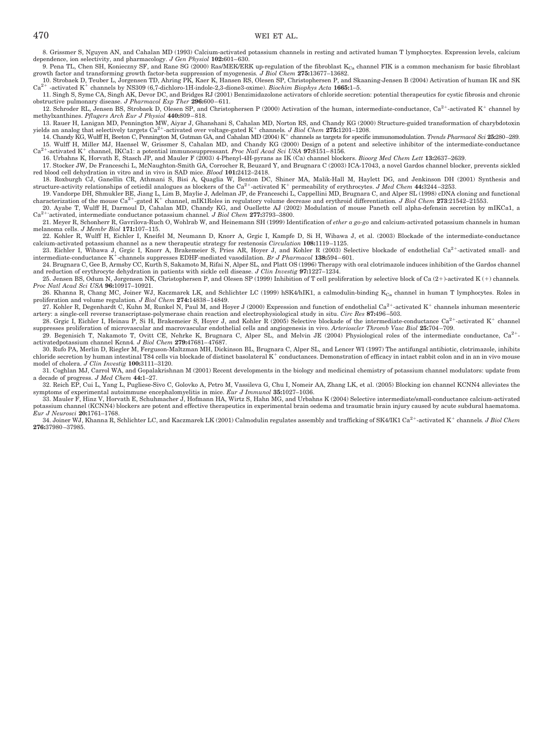8. Grissmer S, Nguyen AN, and Cahalan MD (1993) Calcium-activated potassium channels in resting and activated human T lymphocytes. Expression levels, calcium dependence, ion selectivity, and pharmacology. *J Gen Physiol* **102:**601– 630.

9. Pena TL, Chen SH, Konieczny SF, and Rane SG (2000) Ras/MEK/ERK up-regulation of the fibroblast  $K_{Ca}$  channel FIK is a common mechanism for basic fibroblast growth factor and transforming growth factor-beta suppression

growth factor and transforming growth factor-beta suppression of myogenesis. *J Biol Chem* 275:13677–13682.<br>10. Strobaek D, Teuber L, Jorgensen TD, Ahring PK, Kaer K, Hansen RS, Olesen SP, Christophersen P, and Skaaning-Je

11. Singh S, Syme CA, Singh AK, Devor DC, and Bridges RJ (2001) Benzimidazolone activators of chloride secretion: potential therapeutics for cystic fibrosis and chronic obstructive pulmonary disease. *J Pharmacol Exp Ther* **296:**600 – 611.

12. Schroder RL, Jensen BS, Strobaek D, Olesen SP, and Christophersen P (2000) Activation of the human, intermediate-conductance,  $Ca^{2+}$ -activated K<sup>+</sup> channel by methylxanthines. *Pflugers Arch Eur J Physiol* **440:**809 – 818.

13. Rauer H, Lanigan MD, Pennington MW, Aiyar J, Ghanshani S, Cahalan MD, Norton RS, and Chandy KG (2000) Structure-guided transformation of charybdotoxin yields an analog that selectively targets  $Ca^{2+}$ -activated over voltage-gated  $K^+$  channels. *J Biol Chem* 275:1201–1208.

14. Chandy KG, Wulff H, Beeton C, Pennington M, Gutman GA, and Cahalan MD (2004) K<sup>+</sup> channels as targets for specific immunomodulation. *Trends Pharmacol Sci* 25:280-289. 15. Wulff H, Miller MJ, Haensel W, Grissmer S, Cahalan MD, and Chandy KG (2000) Design of a potent and selective inhibitor of the intermediate-conductance  $Ca^{2+}$ -activated K<sup>+</sup> channel IKCa1: a potential immunosuppressan Ca2-activated K channel, IKCa1: a potential immunosuppressant*. Proc Natl Acad Sci USA* **97:**8151– 8156.

16. Urbahns K, Horvath E, Stasch JP, and Mauler F (2003) 4-Phenyl-4H-pyrans as IK (Ca) channel blockers. *Bioorg Med Chem Lett* **13:**2637–2639.

17. Stocker JW, De Franceschi L, McNaughton-Smith GA, Corrocher R, Beuzard Y, and Brugnara C (2003) ICA-17043, a novel Gardos channel blocker, prevents sickled red blood cell dehydration in vitro and in vivo in SAD mice. *Blood* **101:**2412–2418.

18. Roxburgh CJ, Ganellin CR, Athmani S, Bisi A, Quaglia W, Benton DC, Shiner MA, Malik-Hall M, Haylett DG, and Jenkinson DH (2001) Synthesis and structure-activity relationships of cetiedil analogues as blockers of the Ca<sup>2+</sup>-activated K<sup>+</sup> permeability of erythrocytes. *J Med Chem* 44:3244-3253.

19. Vandorpe DH, Shmukler BE, Jiang L, Lim B, Maylie J, Adelman JP, de Franceschi L, Cappellini MD, Brugnara C, and Alper SL (1998) cDNA cloning and functional characterization of the mouse Ca<sup>2+</sup>-gated K<sup>+</sup> channel, mIK1

20. Ayabe T, Wulff H, Darmoul D, Cahalan MD, Chandy KG, and Ouellette AJ (2002) Modulation of mouse Paneth cell alpha-defensin secretion by mIKCa1, a<br><sup>2+-</sup>activated, intermediate conductance potassium channel. *J Biol Chem*  $Ca^{2+}$ 

21. Meyer R, Schonherr R, Gavrilova-Ruch O, Wohlrab W, and Heinemann SH (1999) Identification of *ether a go-go* and calcium-activated potassium channels in human melanoma cells. *J Membr Biol* **171:**107–115.

22. Kohler R, Wulff H, Eichler I, Kneifel M, Neumann D, Knorr A, Grgic I, Kampfe D, Si H, Wibawa J, et al. (2003) Blockade of the intermediate-conductance calcium-activated potassium channel as a new therapeutic strategy for restenosis *Circulation* **108:**1119 –1125.

23. Eichler I, Wibawa J, Grgic I, Knorr A, Brakemeier S, Pries AR, Hoyer J, and Kohler R (2003) Selective blockade of endothelial Ca<sup>2+</sup>-activated small- and intermediate-conductance K<sup>+</sup>-channels suppresses EDHF-mediated vasodilation. *Br J Pharmacol* 138:594-601.

24. Brugnara C, Gee B, Armsby CC, Kurth S, Sakamoto M, Rifai N, Alper SL, and Platt OS (1996) Therapy with oral clotrimazole induces inhibition of the Gardos channel and reduction of erythrocyte dehydration in patients with sickle cell disease. *J Clin Investig* **97:**1227–1234.

25. Jensen BS, Odum N, Jorgensen NK, Christophersen P, and Olesen SP (1999) Inhibition of T cell proliferation by selective block of Ca (2+)-activated K (+) channels. *Proc Natl Acad Sci USA* **96:**10917–10921.

26. Khanna R, Chang MC, Joiner WJ, Kaczmarek LK, and Schlichter LC (1999) hSK4/hIK1, a calmodulin-binding K<sub>Ca</sub> channel in human T lymphocytes. Roles in proliferation and volume regulation*. J Biol Chem* **274:**14838 –14849.

27. Kohler R, Degenhardt C, Kuhn M, Runkel N, Paul M, and Hoyer J (2000) Expression and function of endothelial Ca<sup>2+</sup>-activated K<sup>+</sup> channels inhuman mesenteric artery: a single-cell reverse transcriptase-polymerase chain reaction and electrophysiological study in situ. *Circ Res* **87:**496 –503.

28. Grgic I, Eichler I, Heinau P, Si H, Brakemeier S, Hoyer J, and Kohler R (2005) Selective blockade of the intermediate-conductance  $Ca^{2+}$ -activated K<sup>+</sup> channel suppresses proliferation of microvascular and macrovascular endothelial cells and angiogenesis in vivo. *Arterioscler Thromb Vasc Biol* **25:**704 –709. 29. Begenisich T, Nakamoto T, Ovitt CE, Nehrke K, Brugnara C, Alper SL, and Melvin JE (2004) Physiological roles of the intermediate conductance, Ca<sup>2+</sup>-

activatedpotassium channel Kcnn4*. J Biol Chem* **279:**47681– 47687. 30. Rufo PA, Merlin D, Riegler M, Ferguson-Maltzman MH, Dickinson BL, Brugnara C, Alper SL, and Lencer WI (1997) The antifungal antibiotic, clotrimazole, inhibits

chloride secretion by human intestinal T84 cells via blockade of distinct basolateral  $K^+$  conductances. Demonstration of efficacy in intact rabbit colon and in an in vivo mouse model of cholera. *J Clin Investig* **100:**3111–3120.

31. Coghlan MJ, Carrol WA, and Gopalakrishnan M (2001) Recent developments in the biology and medicinal chemistry of potassium channel modulators: update from a decade of progress. *J Med Chem* **44:**1–27.

32. Reich EP, Cui L, Yang L, Pugliese-Sivo C, Golovko A, Petro M, Vassileva G, Chu I, Nomeir AA, Zhang LK, et al. (2005) Blocking ion channel KCNN4 alleviates the symptoms of experimental autoimmune encephalomyelitis in mice. *Eur J Immunol* **35:**1027–1036.

33. Mauler F, Hinz V, Horvath E, Schuhmacher J, Hofmann HA, Wirtz S, Hahn MG, and Urbahns K (2004) Selective intermediate/small-conductance calcium-activated potassium channel (KCNN4) blockers are potent and effective therapeutics in experimental brain oedema and traumatic brain injury caused by acute subdural haematoma. *Eur J Neurosci* **20:**1761–1768.

34. Joiner WJ, Khanna R, Schlichter LC, and Kaczmarek LK (2001) Calmodulin regulates assembly and trafficking of SK4/IK1 Ca<sup>2+</sup>-activated K<sup>+</sup> channels. *J Biol Chem* **276:**37980 –37985.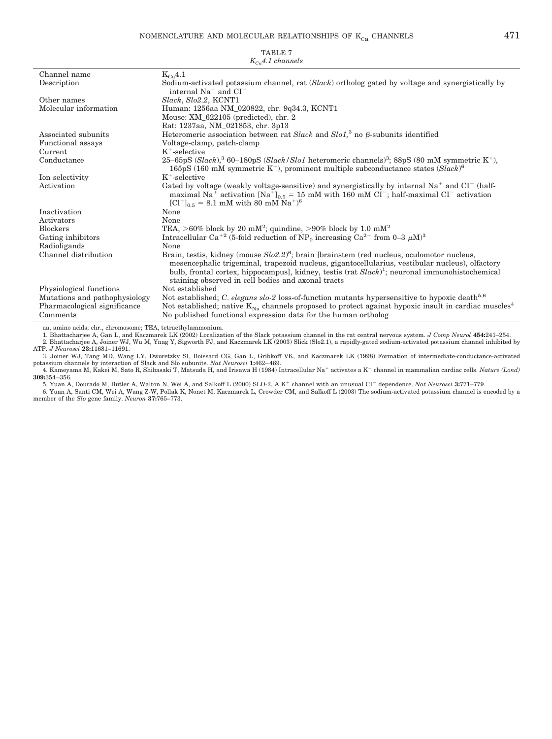| $K_{c,a}$ 4.1 channels        |                                                                                                                                                                                                                                                                                                                                                                         |  |
|-------------------------------|-------------------------------------------------------------------------------------------------------------------------------------------------------------------------------------------------------------------------------------------------------------------------------------------------------------------------------------------------------------------------|--|
| Channel name                  | $K_{Ca}4.1$                                                                                                                                                                                                                                                                                                                                                             |  |
| Description                   | Sodium-activated potassium channel, rat (Slack) ortholog gated by voltage and synergistically by<br>internal $Na+$ and $CI-$                                                                                                                                                                                                                                            |  |
| Other names                   | Slack, Slo2.2, KCNT1                                                                                                                                                                                                                                                                                                                                                    |  |
| Molecular information         | Human: 1256aa NM_020822, chr. 9q34.3, KCNT1                                                                                                                                                                                                                                                                                                                             |  |
|                               | Mouse: $XM_622105$ (predicted), chr. 2                                                                                                                                                                                                                                                                                                                                  |  |
|                               | Rat: 1237aa, NM_021853, chr. 3p13                                                                                                                                                                                                                                                                                                                                       |  |
| Associated subunits           | Heteromeric association between rat Slack and Slo1, <sup>3</sup> no $\beta$ -subunits identified                                                                                                                                                                                                                                                                        |  |
| Functional assays             | Voltage-clamp, patch-clamp                                                                                                                                                                                                                                                                                                                                              |  |
| Current                       | $K^+$ -selective                                                                                                                                                                                                                                                                                                                                                        |  |
| Conductance                   | 25-65pS (Slack), $360-180pS$ (Slack/Slo1 heteromeric channels) <sup>3</sup> ; 88pS (80 mM symmetric K <sup>+</sup> ),<br>165pS (160 mM symmetric K <sup>+</sup> ), prominent multiple subconductance states $(Slack)^6$                                                                                                                                                 |  |
| Ion selectivity               | $K^+$ -selective                                                                                                                                                                                                                                                                                                                                                        |  |
| Activation                    | Gated by voltage (weakly voltage-sensitive) and synergistically by internal $Na^+$ and $CI^-$ (half-<br>maximal Na <sup>+</sup> activation [Na <sup>+</sup> ] <sub>0.5</sub> = 15 mM with 160 mM CI <sup>-</sup> ; half-maximal CI <sup>-</sup> activation<br>$[Cl^{-}]_{0.5} = 8.1$ mM with 80 mM Na <sup>+</sup> ) <sup>6</sup>                                       |  |
| Inactivation                  | None                                                                                                                                                                                                                                                                                                                                                                    |  |
| Activators                    | None                                                                                                                                                                                                                                                                                                                                                                    |  |
| <b>Blockers</b>               | TEA, >60% block by 20 mM <sup>2</sup> ; quindine, >90% block by 1.0 mM <sup>2</sup>                                                                                                                                                                                                                                                                                     |  |
| Gating inhibitors             | Intracellular Ca <sup>+2</sup> (5-fold reduction of NP <sub>0</sub> increasing Ca <sup>2+</sup> from 0-3 $\mu$ M) <sup>3</sup>                                                                                                                                                                                                                                          |  |
| Radioligands                  | None                                                                                                                                                                                                                                                                                                                                                                    |  |
| Channel distribution          | Brain, testis, kidney (mouse $Slo2.2$ ) <sup>6</sup> ; brain [brainstem (red nucleus, oculomotor nucleus,<br>mesencephalic trigeminal, trapezoid nucleus, gigantocellularius, vestibular nucleus), olfactory<br>bulb, frontal cortex, hippocampus], kidney, testis $(rat Slack)^1$ ; neuronal immunohistochemical<br>staining observed in cell bodies and axonal tracts |  |
| Physiological functions       | Not established                                                                                                                                                                                                                                                                                                                                                         |  |
| Mutations and pathophysiology | Not established; C. elegans slo-2 loss-of-function mutants hypersensitive to hypoxic death <sup>5,6</sup>                                                                                                                                                                                                                                                               |  |
| Pharmacological significance  | Not established; native $K_{Na}$ channels proposed to protect against hypoxic insult in cardiac muscles <sup>4</sup>                                                                                                                                                                                                                                                    |  |
| Comments                      | No published functional expression data for the human ortholog                                                                                                                                                                                                                                                                                                          |  |

aa, amino acids; chr., chromosome; TEA, tetraethylammonium.

1. Bhattacharjee A, Gan L, and Kaczmarek LK (2002) Localization of the Slack potassium channel in the rat central nervous system. *J Comp Neurol* **454:**241–254. 2. Bhattacharjee A, Joiner WJ, Wu M, Ynag Y, Sigworth FJ, and Kaczmarek LK (2003) Slick (Slo2.1), a rapidly-gated sodium-activated potassium channel inhibited by

ATP. *J Neurosci* **23:**11681–11691.

3. Joiner WJ, Tang MD, Wang LY, Dworetzky SI, Boissard CG, Gan L, Gribkoff VK, and Kaczmarek LK (1998) Formation of intermediate-conductance-activated potassium channels by interaction of Slack and Slo subunits. *Nat Neur* 

**309:**354 –356.

5. Yuan A, Dourado M, Butler A, Walton N, Wei A, and Salkoff L (2000) SLO-2, A K channel with an unusual CI dependence. *Nat Neurosci* **3:**771–779. 6. Yuan A, Santi CM, Wei A, Wang Z-W, Pollak K, Nonet M, Kaczmarek L, Crowder CM, and Salkoff L (2003) The sodium-activated potassium channel is encoded by a member of the *Slo* gene family. *Neuron* **37:**765–773.